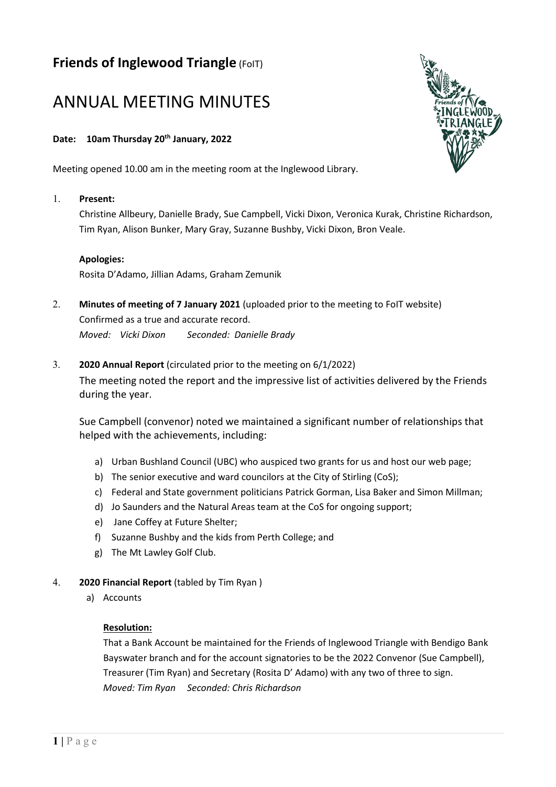# **Friends of Inglewood Triangle** (FoIT)

# ANNUAL MEETING MINUTES

# **Date: 10am Thursday 20th January, 2022**

Meeting opened 10.00 am in the meeting room at the Inglewood Library.

#### 1. **Present:**

Christine Allbeury, Danielle Brady, Sue Campbell, Vicki Dixon, Veronica Kurak, Christine Richardson, Tim Ryan, Alison Bunker, Mary Gray, Suzanne Bushby, Vicki Dixon, Bron Veale.

#### **Apologies:**

Rosita D'Adamo, Jillian Adams, Graham Zemunik

- 2. **Minutes of meeting of 7 January 2021** (uploaded prior to the meeting to FoIT website) Confirmed as a true and accurate record. *Moved: Vicki Dixon Seconded: Danielle Brady*
- 3. **2020 Annual Report** (circulated prior to the meeting on 6/1/2022) The meeting noted the report and the impressive list of activities delivered by the Friends during the year.

Sue Campbell (convenor) noted we maintained a significant number of relationships that helped with the achievements, including:

- a) Urban Bushland Council (UBC) who auspiced two grants for us and host our web page;
- b) The senior executive and ward councilors at the City of Stirling (CoS);
- c) Federal and State government politicians Patrick Gorman, Lisa Baker and Simon Millman;
- d) Jo Saunders and the Natural Areas team at the CoS for ongoing support;
- e) Jane Coffey at Future Shelter;
- f) Suzanne Bushby and the kids from Perth College; and
- g) The Mt Lawley Golf Club.
- 4. **2020 Financial Report** (tabled by Tim Ryan )
	- a) Accounts

#### **Resolution:**

That a Bank Account be maintained for the Friends of Inglewood Triangle with Bendigo Bank Bayswater branch and for the account signatories to be the 2022 Convenor (Sue Campbell), Treasurer (Tim Ryan) and Secretary (Rosita D' Adamo) with any two of three to sign. *Moved: Tim Ryan Seconded: Chris Richardson*

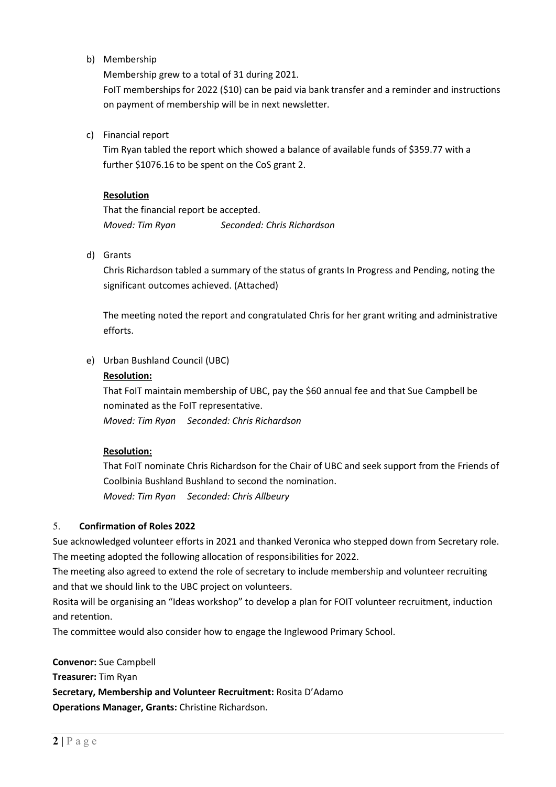b) Membership

Membership grew to a total of 31 during 2021.

FoIT memberships for 2022 (\$10) can be paid via bank transfer and a reminder and instructions on payment of membership will be in next newsletter.

c) Financial report

Tim Ryan tabled the report which showed a balance of available funds of \$359.77 with a further \$1076.16 to be spent on the CoS grant 2.

#### **Resolution**

That the financial report be accepted. *Moved: Tim Ryan Seconded: Chris Richardson*

d) Grants

Chris Richardson tabled a summary of the status of grants In Progress and Pending, noting the significant outcomes achieved. (Attached)

The meeting noted the report and congratulated Chris for her grant writing and administrative efforts.

e) Urban Bushland Council (UBC)

#### **Resolution:**

That FoIT maintain membership of UBC, pay the \$60 annual fee and that Sue Campbell be nominated as the FoIT representative.

*Moved: Tim Ryan Seconded: Chris Richardson* 

# **Resolution:**

That FoIT nominate Chris Richardson for the Chair of UBC and seek support from the Friends of Coolbinia Bushland Bushland to second the nomination. *Moved: Tim Ryan Seconded: Chris Allbeury*

# 5. **Confirmation of Roles 2022**

Sue acknowledged volunteer efforts in 2021 and thanked Veronica who stepped down from Secretary role. The meeting adopted the following allocation of responsibilities for 2022.

The meeting also agreed to extend the role of secretary to include membership and volunteer recruiting and that we should link to the UBC project on volunteers.

Rosita will be organising an "Ideas workshop" to develop a plan for FOIT volunteer recruitment, induction and retention.

The committee would also consider how to engage the Inglewood Primary School.

**Convenor:** Sue Campbell **Treasurer:** Tim Ryan **Secretary, Membership and Volunteer Recruitment:** Rosita D'Adamo **Operations Manager, Grants:** Christine Richardson.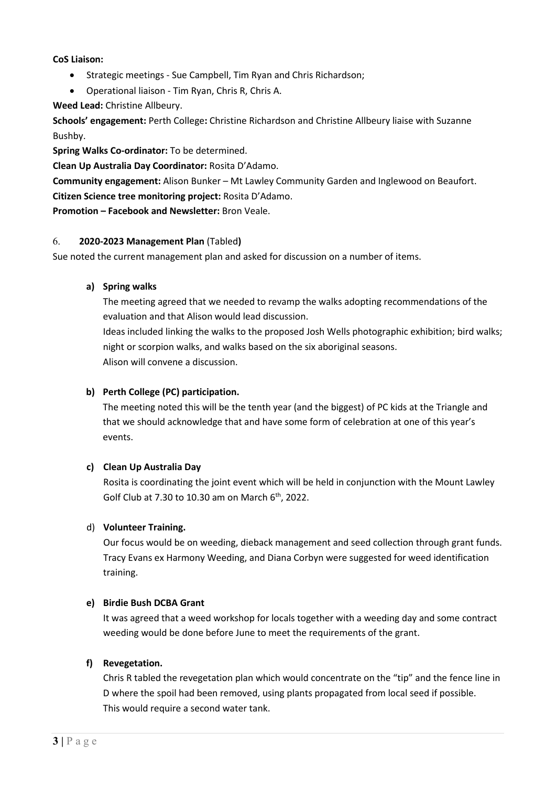#### **CoS Liaison:**

- Strategic meetings Sue Campbell, Tim Ryan and Chris Richardson;
- Operational liaison Tim Ryan, Chris R, Chris A.

**Weed Lead:** Christine Allbeury.

**Schools' engagement:** Perth College**:** Christine Richardson and Christine Allbeury liaise with Suzanne Bushby.

**Spring Walks Co-ordinator:** To be determined.

**Clean Up Australia Day Coordinator:** Rosita D'Adamo.

**Community engagement:** Alison Bunker – Mt Lawley Community Garden and Inglewood on Beaufort.

**Citizen Science tree monitoring project:** Rosita D'Adamo.

**Promotion – Facebook and Newsletter:** Bron Veale.

# 6. **2020-2023 Management Plan** (Tabled**)**

Sue noted the current management plan and asked for discussion on a number of items.

# **a) Spring walks**

The meeting agreed that we needed to revamp the walks adopting recommendations of the evaluation and that Alison would lead discussion.

Ideas included linking the walks to the proposed Josh Wells photographic exhibition; bird walks; night or scorpion walks, and walks based on the six aboriginal seasons. Alison will convene a discussion.

# **b) Perth College (PC) participation.**

The meeting noted this will be the tenth year (and the biggest) of PC kids at the Triangle and that we should acknowledge that and have some form of celebration at one of this year's events.

# **c) Clean Up Australia Day**

Rosita is coordinating the joint event which will be held in conjunction with the Mount Lawley Golf Club at 7.30 to 10.30 am on March  $6<sup>th</sup>$ , 2022.

# d) **Volunteer Training.**

Our focus would be on weeding, dieback management and seed collection through grant funds. Tracy Evans ex Harmony Weeding, and Diana Corbyn were suggested for weed identification training.

# **e) Birdie Bush DCBA Grant**

It was agreed that a weed workshop for locals together with a weeding day and some contract weeding would be done before June to meet the requirements of the grant.

# **f) Revegetation.**

Chris R tabled the revegetation plan which would concentrate on the "tip" and the fence line in D where the spoil had been removed, using plants propagated from local seed if possible. This would require a second water tank.